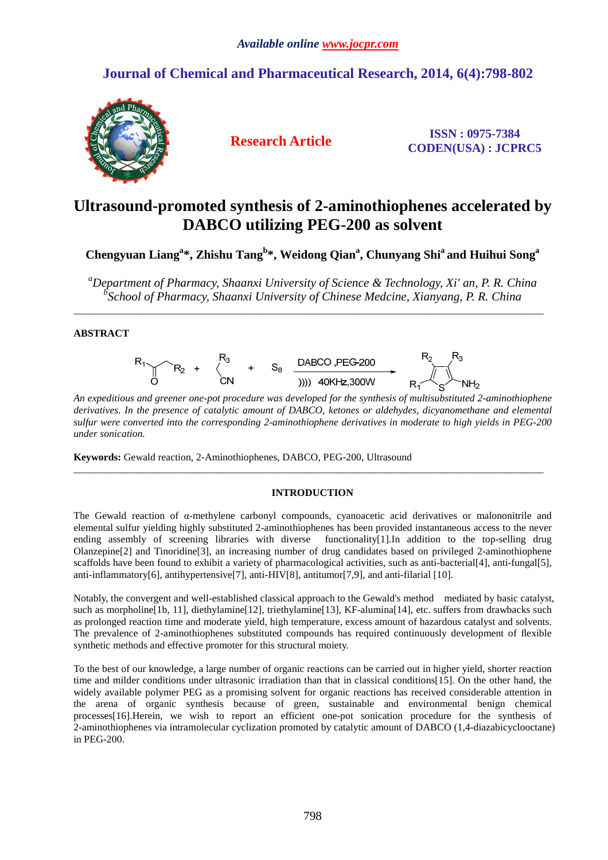# **Journal of Chemical and Pharmaceutical Research, 2014, 6(4):798-802**



**Research Article ISSN : 0975-7384 CODEN(USA) : JCPRC5**

# **Ultrasound-promoted synthesis of 2-aminothiophenes accelerated by DABCO utilizing PEG-200 as solvent**

**Chengyuan Liang<sup>a</sup> \*, Zhishu Tang<sup>b</sup> \*, Weidong Qian<sup>a</sup> , Chunyang Shi<sup>a</sup>and Huihui Song<sup>a</sup>** 

*<sup>a</sup>Department of Pharmacy, Shaanxi University of Science & Technology, Xi' an, P. R. China b School of Pharmacy, Shaanxi University of Chinese Medcine, Xianyang, P. R. China* 

\_\_\_\_\_\_\_\_\_\_\_\_\_\_\_\_\_\_\_\_\_\_\_\_\_\_\_\_\_\_\_\_\_\_\_\_\_\_\_\_\_\_\_\_\_\_\_\_\_\_\_\_\_\_\_\_\_\_\_\_\_\_\_\_\_\_\_\_\_\_\_\_\_\_\_\_\_\_\_\_\_\_\_\_\_\_\_\_\_\_\_\_

## **ABSTRACT**



*An expeditious and greener one-pot procedure was developed for the synthesis of multisubstituted 2-aminothiophene derivatives. In the presence of catalytic amount of DABCO, ketones or aldehydes, dicyanomethane and elemental sulfur were converted into the corresponding 2-aminothiophene derivatives in moderate to high yields in PEG-200 under sonication.* 

**Keywords:** Gewald reaction, 2-Aminothiophenes, DABCO, PEG-200, Ultrasound

## **INTRODUCTION**

 $\overline{\phantom{a}}$  , and the contribution of the contribution of the contribution of the contribution of the contribution of the contribution of the contribution of the contribution of the contribution of the contribution of the

The Gewald reaction of  $\alpha$ -methylene carbonyl compounds, cyanoacetic acid derivatives or malononitrile and elemental sulfur yielding highly substituted 2-aminothiophenes has been provided instantaneous access to the never ending assembly of screening libraries with diverse functionality[1].In addition to the top-selling drug Olanzepine[2] and Tinoridine[3], an increasing number of drug candidates based on privileged 2-aminothiophene scaffolds have been found to exhibit a variety of pharmacological activities, such as anti-bacterial[4], anti-fungal[5], anti-inflammatory[6], antihypertensive[7], anti-HIV[8], antitumor[7,9], and anti-filarial [10].

Notably, the convergent and well-established classical approach to the Gewald's method mediated by basic catalyst, such as morpholine<sup>[1b]</sup>, 11], diethylamine<sup>[12]</sup>, triethylamine<sup>[13]</sup>, KF-alumina<sup>[14]</sup>, etc. suffers from drawbacks such as prolonged reaction time and moderate yield, high temperature, excess amount of hazardous catalyst and solvents. The prevalence of 2-aminothiophenes substituted compounds has required continuously development of flexible synthetic methods and effective promoter for this structural moiety.

To the best of our knowledge, a large number of organic reactions can be carried out in higher yield, shorter reaction time and milder conditions under ultrasonic irradiation than that in classical conditions[15]. On the other hand, the widely available polymer PEG as a promising solvent for organic reactions has received considerable attention in the arena of organic synthesis because of green, sustainable and environmental benign chemical processes[16].Herein, we wish to report an efficient one-pot sonication procedure for the synthesis of 2-aminothiophenes via intramolecular cyclization promoted by catalytic amount of DABCO (1,4-diazabicyclooctane) in PEG-200.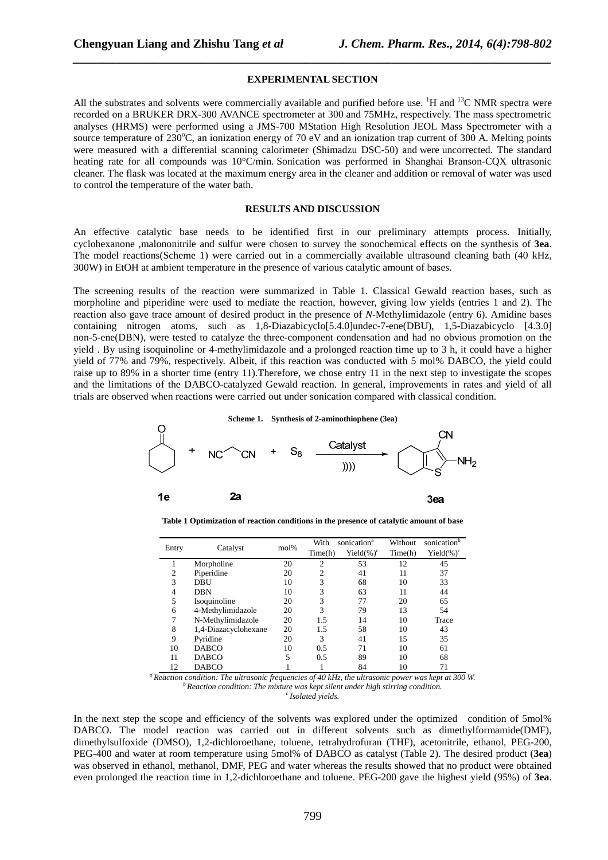#### **EXPERIMENTAL SECTION**

*\_\_\_\_\_\_\_\_\_\_\_\_\_\_\_\_\_\_\_\_\_\_\_\_\_\_\_\_\_\_\_\_\_\_\_\_\_\_\_\_\_\_\_\_\_\_\_\_\_\_\_\_\_\_\_\_\_\_\_\_\_\_\_\_\_\_\_\_\_\_\_\_\_\_\_\_\_\_*

All the substrates and solvents were commercially available and purified before use.  ${}^{1}H$  and  ${}^{13}C$  NMR spectra were recorded on a BRUKER DRX-300 AVANCE spectrometer at 300 and 75MHz, respectively. The mass spectrometric analyses (HRMS) were performed using a JMS-700 MStation High Resolution JEOL Mass Spectrometer with a source temperature of 230 $^{\circ}$ C, an ionization energy of 70 eV and an ionization trap current of 300 A. Melting points were measured with a differential scanning calorimeter (Shimadzu DSC-50) and were uncorrected. The standard heating rate for all compounds was 10°C/min. Sonication was performed in Shanghai Branson-CQX ultrasonic cleaner. The flask was located at the maximum energy area in the cleaner and addition or removal of water was used to control the temperature of the water bath.

### **RESULTS AND DISCUSSION**

An effective catalytic base needs to be identified first in our preliminary attempts process. Initially, cyclohexanone ,malononitrile and sulfur were chosen to survey the sonochemical effects on the synthesis of **3ea**. The model reactions(Scheme 1) were carried out in a commercially available ultrasound cleaning bath (40 kHz, 300W) in EtOH at ambient temperature in the presence of various catalytic amount of bases.

The screening results of the reaction were summarized in Table 1. Classical Gewald reaction bases, such as morpholine and piperidine were used to mediate the reaction, however, giving low yields (entries 1 and 2). The reaction also gave trace amount of desired product in the presence of *N*-Methylimidazole (entry 6). Amidine bases containing nitrogen atoms, such as 1,8-Diazabicyclo[5.4.0]undec-7-ene(DBU), 1,5-Diazabicyclo [4.3.0] non-5-ene(DBN), were tested to catalyze the three-component condensation and had no obvious promotion on the yield . By using isoquinoline or 4-methylimidazole and a prolonged reaction time up to 3 h, it could have a higher yield of 77% and 79%, respectively. Albeit, if this reaction was conducted with 5 mol% DABCO, the yield could raise up to 89% in a shorter time (entry 11).Therefore, we chose entry 11 in the next step to investigate the scopes and the limitations of the DABCO-catalyzed Gewald reaction. In general, improvements in rates and yield of all trials are observed when reactions were carried out under sonication compared with classical condition.



**Table 1 Optimization of reaction conditions in the presence of catalytic amount of base** 

|       | Catalyst             | mol% | sonication <sup>a</sup><br>With |                | Without | sonication <sup>b</sup> |  |
|-------|----------------------|------|---------------------------------|----------------|---------|-------------------------|--|
| Entry |                      |      | Time(h)                         | Yield $(\%)^c$ | Time(h) | Yield $(\%)^c$          |  |
|       | Morpholine           | 20   | 2                               | 53             | 12      | 45                      |  |
| 2     | Piperidine           | 20   | $\overline{c}$                  | 41             | 11      | 37                      |  |
| 3     | DBU                  | 10   | 3                               | 68             | 10      | 33                      |  |
| 4     | <b>DBN</b>           | 10   | 3                               | 63             | 11      | 44                      |  |
| 5     | Isoquinoline         | 20   | 3                               | 77             | 20      | 65                      |  |
| 6     | 4-Methylimidazole    | 20   | 3                               | 79             | 13      | 54                      |  |
| 7     | N-Methylimidazole    | 20   | 1.5                             | 14             | 10      | Trace                   |  |
| 8     | 1,4-Diazacyclohexane | 20   | 1.5                             | 58             | 10      | 43                      |  |
| 9     | Pyridine             | 20   | 3                               | 41             | 15      | 35                      |  |
| 10    | <b>DABCO</b>         | 10   | 0.5                             | 71             | 10      | 61                      |  |
| 11    | <b>DABCO</b>         | 5    | 0.5                             | 89             | 10      | 68                      |  |
| 12    | <b>DABCO</b>         |      |                                 | 84             | 10      | 71                      |  |

*<sup>a</sup>Reaction condition: The ultrasonic frequencies of 40 kHz, the ultrasonic power was kept at 300 W. <sup>b</sup>Reaction condition: The mixture was kept silent under high stirring condition. <sup>c</sup>Isolated yields.* 

In the next step the scope and efficiency of the solvents was explored under the optimized condition of 5mol% DABCO. The model reaction was carried out in different solvents such as dimethylformamide(DMF), dimethylsulfoxide (DMSO), 1,2-dichloroethane, toluene, tetrahydrofuran (THF), acetonitrile, ethanol, PEG-200, PEG-400 and water at room temperature using 5mol% of DABCO as catalyst (Table 2). The desired product (**3ea**) was observed in ethanol, methanol, DMF, PEG and water whereas the results showed that no product were obtained even prolonged the reaction time in 1,2-dichloroethane and toluene. PEG-200 gave the highest yield (95%) of **3ea**.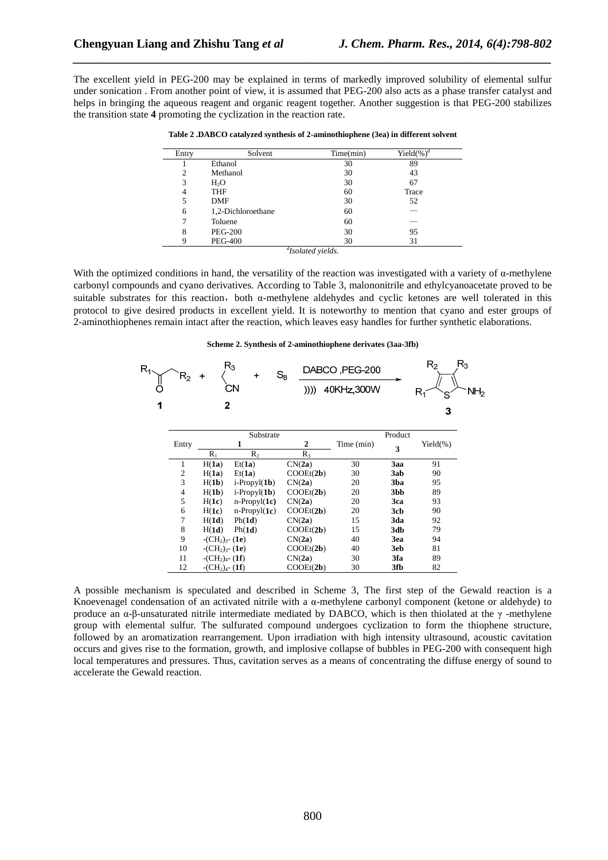The excellent yield in PEG-200 may be explained in terms of markedly improved solubility of elemental sulfur under sonication . From another point of view, it is assumed that PEG-200 also acts as a phase transfer catalyst and helps in bringing the aqueous reagent and organic reagent together. Another suggestion is that PEG-200 stabilizes the transition state **4** promoting the cyclization in the reaction rate.

*\_\_\_\_\_\_\_\_\_\_\_\_\_\_\_\_\_\_\_\_\_\_\_\_\_\_\_\_\_\_\_\_\_\_\_\_\_\_\_\_\_\_\_\_\_\_\_\_\_\_\_\_\_\_\_\_\_\_\_\_\_\_\_\_\_\_\_\_\_\_\_\_\_\_\_\_\_\_*

| Entry | Solvent            | Time(min) | Yield $(\%)^d$ |  |
|-------|--------------------|-----------|----------------|--|
|       | Ethanol            | 30        | 89             |  |
| 2     | Methanol           | 30        | 43             |  |
| 3     | H <sub>2</sub> O   | 30        | 67             |  |
| 4     | <b>THF</b>         | 60        | Trace          |  |
| 5     | <b>DMF</b>         | 30        | 52             |  |
| 6     | 1,2-Dichloroethane | 60        |                |  |
| 7     | Toluene            | 60        |                |  |
| 8     | <b>PEG-200</b>     | 30        | 95             |  |
| Q     | <b>PEG-400</b>     | 30        | 31             |  |

**Table 2 .DABCO catalyzed synthesis of 2-aminothiophene (3ea) in different solvent** 

*d Isolated yields.* 

With the optimized conditions in hand, the versatility of the reaction was investigated with a variety of  $\alpha$ -methylene carbonyl compounds and cyano derivatives. According to Table 3, malononitrile and ethylcyanoacetate proved to be suitable substrates for this reaction, both  $\alpha$ -methylene aldehydes and cyclic ketones are well tolerated in this protocol to give desired products in excellent yield. It is noteworthy to mention that cyano and ester groups of 2-aminothiophenes remain intact after the reaction, which leaves easy handles for further synthetic elaborations.

#### **Scheme 2. Synthesis of 2-aminothiophene derivates (3aa-3fb)**

| $R_{4}$ | $\mathsf{R}_2$ | $R_3$<br>٠                           | $\ddot{}$             | $S_8$     | DABCO, PEG-200 |         | $R_3$<br>R <sub>2</sub> |                 |
|---------|----------------|--------------------------------------|-----------------------|-----------|----------------|---------|-------------------------|-----------------|
|         |                |                                      | CΝ                    | ))))      | 40KHz,300W     |         | R1                      | NH <sub>2</sub> |
| 1       |                | $\mathbf{2}$                         |                       |           |                |         | 3                       |                 |
|         |                |                                      | Substrate             |           |                | Product |                         |                 |
|         | Entry          |                                      | 1                     | 2         | Time (min)     | 3       | $Yield(\%)$             |                 |
|         |                | $R_1$                                | R <sub>2</sub>        | $R_3$     |                |         |                         |                 |
|         | 1              | H(1a)                                | Et(1a)                | CN(2a)    | 30             | 3aa     | 91                      |                 |
|         | 2              | H(1a)                                | Et(1a)                | COOEt(2b) | 30             | 3ab     | 90                      |                 |
|         | 3              | H(1b)                                | $i$ -Propyl $(1b)$    | CN(2a)    | 20             | 3ba     | 95                      |                 |
|         | 4              | H(1b)                                | $i$ -Propyl $(1b)$    | COOEt(2b) | 20             | 3bb     | 89                      |                 |
|         | 5              | H(1c)                                | $n$ -Propyl $(1c)$    | CN(2a)    | 20             | 3ca     | 93                      |                 |
|         | 6              | H(1c)                                | $n\text{-}Propyl(1c)$ | COOEt(2b) | 20             | 3cb     | 90                      |                 |
|         | 7              | H(1d)                                | Ph(1d)                | CN(2a)    | 15             | 3da     | 92                      |                 |
|         | 8              | H(1d)                                | Ph(1d)                | COOEt(2b) | 15             | 3db     | 79                      |                 |
|         | 9              | $-CH_2$ <sub>3</sub> - (1e)          |                       | CN(2a)    | 40             | 3ea     | 94                      |                 |
|         | 10             | $-CH2$ <sub>3</sub> - (1e)           |                       | COOEt(2b) | 40             | 3eb     | 81                      |                 |
|         | 11             | $-CH_2$ <sub>4</sub> - (1 <b>f</b> ) |                       | CN(2a)    | 30             | 3fa     | 89                      |                 |
|         | 12             | $-CH_2$ <sub>4</sub> - (1f)          |                       | COOEt(2b) | 30             | 3fb     | 82                      |                 |

A possible mechanism is speculated and described in Scheme 3, The first step of the Gewald reaction is a Knoevenagel condensation of an activated nitrile with a α-methylene carbonyl component (ketone or aldehyde) to produce an α-β-unsaturated nitrile intermediate mediated by DABCO, which is then thiolated at the γ -methylene group with elemental sulfur. The sulfurated compound undergoes cyclization to form the thiophene structure, followed by an aromatization rearrangement. Upon irradiation with high intensity ultrasound, acoustic cavitation occurs and gives rise to the formation, growth, and implosive collapse of bubbles in PEG-200 with consequent high local temperatures and pressures. Thus, cavitation serves as a means of concentrating the diffuse energy of sound to accelerate the Gewald reaction.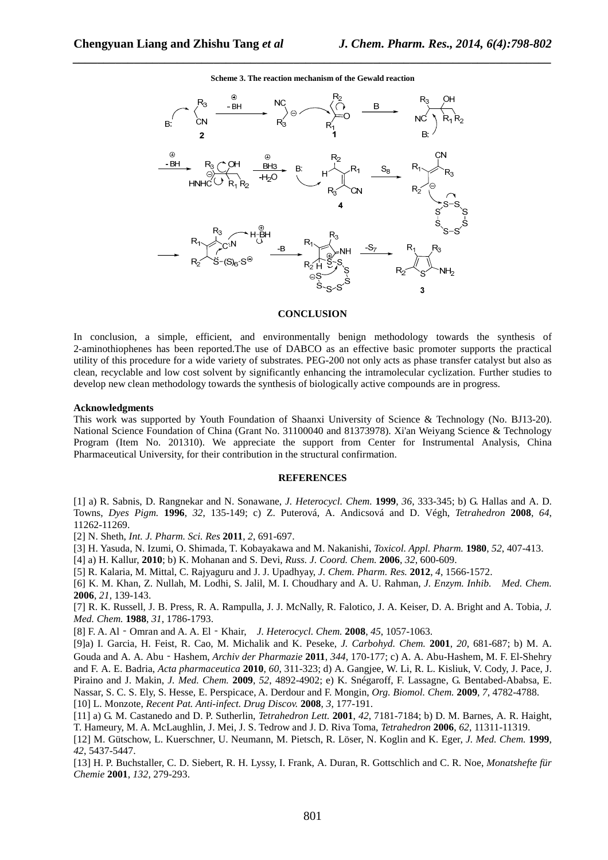

**Scheme 3. The reaction mechanism of the Gewald reaction** 

*\_\_\_\_\_\_\_\_\_\_\_\_\_\_\_\_\_\_\_\_\_\_\_\_\_\_\_\_\_\_\_\_\_\_\_\_\_\_\_\_\_\_\_\_\_\_\_\_\_\_\_\_\_\_\_\_\_\_\_\_\_\_\_\_\_\_\_\_\_\_\_\_\_\_\_\_\_\_*

### **CONCLUSION**

In conclusion, a simple, efficient, and environmentally benign methodology towards the synthesis of 2-aminothiophenes has been reported.The use of DABCO as an effective basic promoter supports the practical utility of this procedure for a wide variety of substrates. PEG-200 not only acts as phase transfer catalyst but also as clean, recyclable and low cost solvent by significantly enhancing the intramolecular cyclization. Further studies to develop new clean methodology towards the synthesis of biologically active compounds are in progress.

#### **Acknowledgments**

This work was supported by Youth Foundation of Shaanxi University of Science & Technology (No. BJ13-20). National Science Foundation of China (Grant No. 31100040 and 81373978). Xi'an Weiyang Science & Technology Program (Item No. 201310). We appreciate the support from Center for Instrumental Analysis, China Pharmaceutical University, for their contribution in the structural confirmation.

#### **REFERENCES**

[1] a) R. Sabnis, D. Rangnekar and N. Sonawane, *J. Heterocycl. Chem.* **1999**, *36*, 333-345; b) G. Hallas and A. D. Towns, *Dyes Pigm.* **1996**, *32*, 135-149; c) Z. Puterová, A. Andicsová and D. Végh, *Tetrahedron* **2008**, *64*, 11262-11269.

[2] N. Sheth, *Int. J. Pharm. Sci. Res* **2011**, *2*, 691-697.

[3] H. Yasuda, N. Izumi, O. Shimada, T. Kobayakawa and M. Nakanishi, *Toxicol. Appl. Pharm.* **1980**, *52*, 407-413.

[4] a) H. Kallur, **2010**; b) K. Mohanan and S. Devi, *Russ. J. Coord. Chem.* **2006**, *32*, 600-609.

[5] R. Kalaria, M. Mittal, C. Rajyaguru and J. J. Upadhyay, *J. Chem. Pharm. Res.* **2012**, *4*, 1566-1572.

[6] K. M. Khan, Z. Nullah, M. Lodhi, S. Jalil, M. I. Choudhary and A. U. Rahman, *J. Enzym. Inhib. Med. Chem.*  **2006**, *21*, 139-143.

[7] R. K. Russell, J. B. Press, R. A. Rampulla, J. J. McNally, R. Falotico, J. A. Keiser, D. A. Bright and A. Tobia, *J. Med. Chem.* **1988**, *31*, 1786-1793.

[8] F. A. Al‐Omran and A. A. El‐Khair, *J. Heterocycl. Chem.* **2008**, *45*, 1057-1063.

[9]a) I. Garcia, H. Feist, R. Cao, M. Michalik and K. Peseke, *J. Carbohyd. Chem.* **2001**, *20*, 681-687; b) M. A. Gouda and A. A. Abu‐Hashem, *Archiv der Pharmazie* **2011**, *344*, 170-177; c) A. A. Abu-Hashem, M. F. El-Shehry and F. A. E. Badria, *Acta pharmaceutica* **2010**, *60*, 311-323; d) A. Gangjee, W. Li, R. L. Kisliuk, V. Cody, J. Pace, J. Piraino and J. Makin, *J. Med. Chem.* **2009**, *52*, 4892-4902; e) K. Snégaroff, F. Lassagne, G. Bentabed-Ababsa, E. Nassar, S. C. S. Ely, S. Hesse, E. Perspicace, A. Derdour and F. Mongin, *Org. Biomol. Chem.* **2009**, *7*, 4782-4788. [10] L. Monzote, *Recent Pat. Anti-infect. Drug Discov.* **2008**, *3*, 177-191.

[11] a) G. M. Castanedo and D. P. Sutherlin, *Tetrahedron Lett.* **2001**, *42*, 7181-7184; b) D. M. Barnes, A. R. Haight, T. Hameury, M. A. McLaughlin, J. Mei, J. S. Tedrow and J. D. Riva Toma, *Tetrahedron* **2006**, *62*, 11311-11319.

[12] M. Gütschow, L. Kuerschner, U. Neumann, M. Pietsch, R. Löser, N. Koglin and K. Eger, *J. Med. Chem.* **1999**, *42*, 5437-5447.

[13] H. P. Buchstaller, C. D. Siebert, R. H. Lyssy, I. Frank, A. Duran, R. Gottschlich and C. R. Noe, *Monatshefte für Chemie* **2001**, *132*, 279-293.